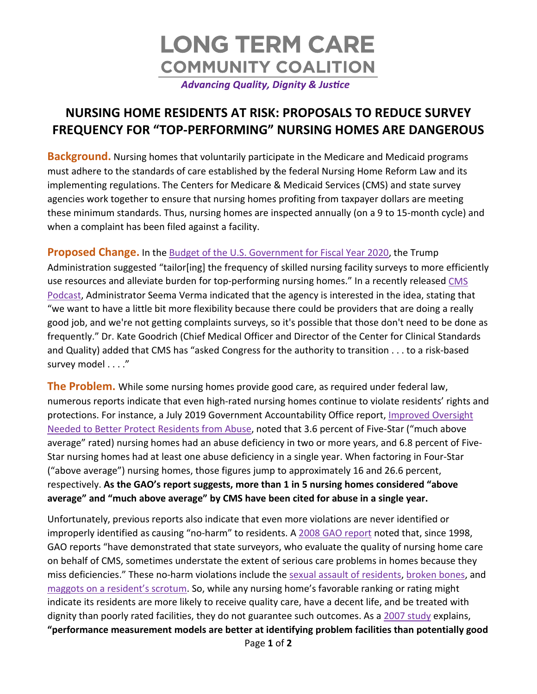

## **NURSING HOME RESIDENTS AT RISK: PROPOSALS TO REDUCE SURVEY FREQUENCY FOR "TOP-PERFORMING" NURSING HOMES ARE DANGEROUS**

**Background.** Nursing homes that voluntarily participate in the Medicare and Medicaid programs must adhere to the standards of care established by the federal Nursing Home Reform Law and its implementing regulations. The Centers for Medicare & Medicaid Services (CMS) and state survey agencies work together to ensure that nursing homes profiting from taxpayer dollars are meeting these minimum standards. Thus, nursing homes are inspected annually (on a 9 to 15-month cycle) and when a complaint has been filed against a facility.

**Proposed Change.** In the [Budget of the U.S. Government for Fiscal Year 2020,](https://www.whitehouse.gov/wp-content/uploads/2019/03/budget-fy2020.pdf) the Trump Administration suggested "tailor[ing] the frequency of skilled nursing facility surveys to more efficiently use resources and alleviate burden for top-performing nursing homes." In a recently released [CMS](https://www.cms.gov/podcast/episode-5-nursing-home-strategy-part-1-strengthening-oversight)  [Podcast,](https://www.cms.gov/podcast/episode-5-nursing-home-strategy-part-1-strengthening-oversight) Administrator Seema Verma indicated that the agency is interested in the idea, stating that "we want to have a little bit more flexibility because there could be providers that are doing a really good job, and we're not getting complaints surveys, so it's possible that those don't need to be done as frequently." Dr. Kate Goodrich (Chief Medical Officer and Director of the Center for Clinical Standards and Quality) added that CMS has "asked Congress for the authority to transition . . . to a risk-based survey model . . . ."

**The Problem.** While some nursing homes provide good care, as required under federal law, numerous reports indicate that even high-rated nursing homes continue to violate residents' rights and protections. For instance, a July 2019 Government Accountability Office report, [Improved Oversight](https://www.gao.gov/assets/700/699721.pdf)  [Needed to Better Protect Residents from Abuse,](https://www.gao.gov/assets/700/699721.pdf) noted that 3.6 percent of Five-Star ("much above average" rated) nursing homes had an abuse deficiency in two or more years, and 6.8 percent of Five-Star nursing homes had at least one abuse deficiency in a single year. When factoring in Four-Star ("above average") nursing homes, those figures jump to approximately 16 and 26.6 percent, respectively. **As the GAO's report suggests, more than 1 in 5 nursing homes considered "above average" and "much above average" by CMS have been cited for abuse in a single year.** 

Unfortunately, previous reports also indicate that even more violations are never identified or improperly identified as causing "no-harm" to residents. A [2008 GAO report](https://www.gao.gov/assets/280/275154.pdf) noted that, since 1998, GAO reports "have demonstrated that state surveyors, who evaluate the quality of nursing home care on behalf of CMS, sometimes understate the extent of serious care problems in homes because they miss deficiencies." These no-harm violations include the [sexual assault of residents,](https://www.medicare.gov/nursinghomecompare/InspectionReportDetail.html?ID=235705&SURVEYDATE=09/06/2018&INSPTYPE=STD) [broken bones,](https://www.medicare.gov/nursinghomecompare/InspectionReportDetail.html?ID=055750&SURVEYDATE=10/31/2017&INSPTYPE=CMPL) and [maggots on a resident's scrotum.](https://www.medicare.gov/nursinghomecompare/InspectionReportDetail.html?ID=145736&SURVEYDATE=10/31/2017&INSPTYPE=CMPL) So, while any nursing home's favorable ranking or rating might indicate its residents are more likely to receive quality care, have a decent life, and be treated with dignity than poorly rated facilities, they do not guarantee such outcomes. As a [2007 study](https://www.ncbi.nlm.nih.gov/pmc/articles/PMC1920506/) explains, **"performance measurement models are better at identifying problem facilities than potentially good**